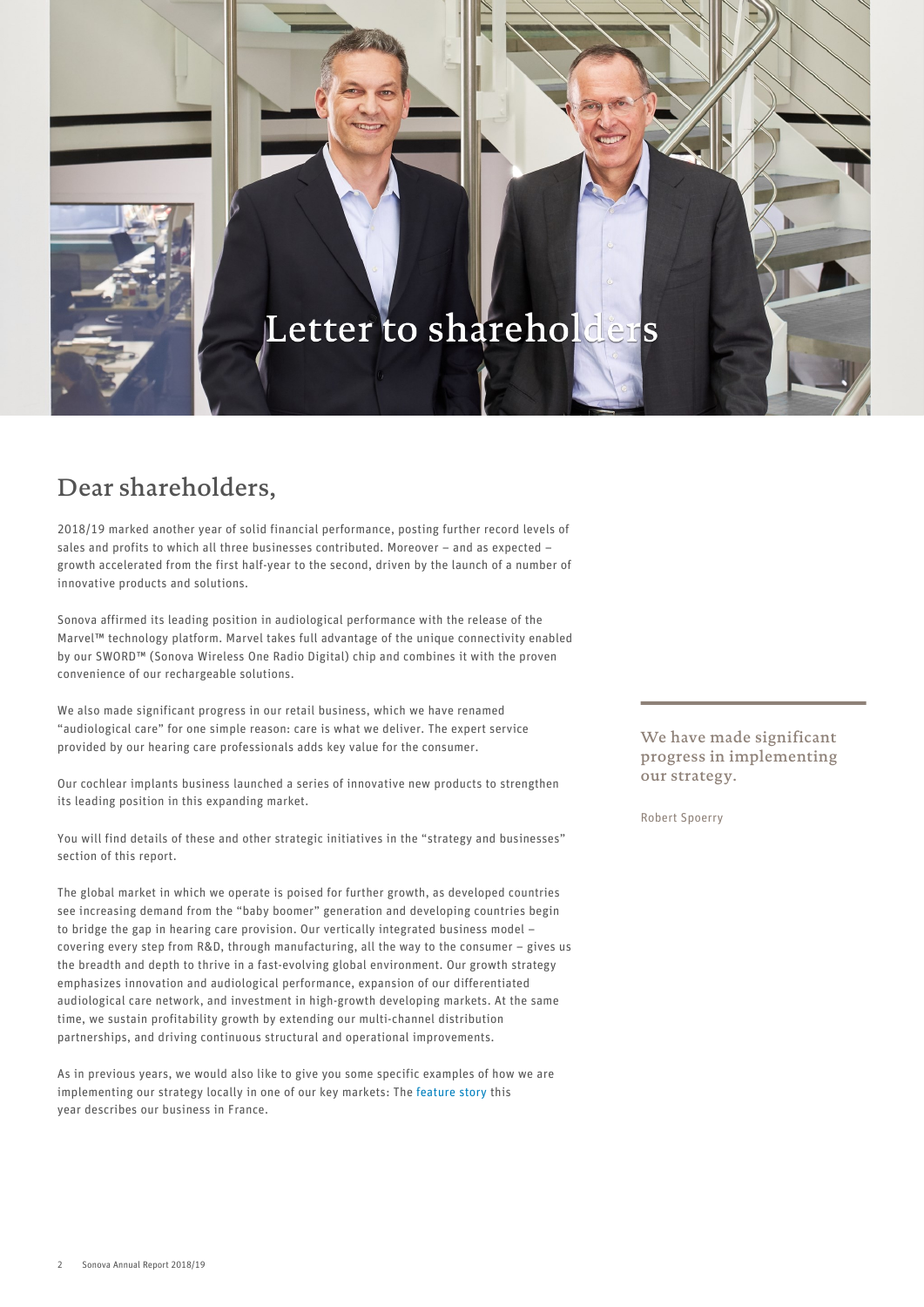# Letter to shareholders

# Dear shareholders,

2018/19 marked another year of solid financial performance, posting further record levels of sales and profits to which all three businesses contributed. Moreover – and as expected – growth accelerated from the first half-year to the second, driven by the launch of a number of innovative products and solutions.

Sonova affirmed its leading position in audiological performance with the release of the Marvel™ technology platform. Marvel takes full advantage of the unique connectivity enabled by our SWORD™ (Sonova Wireless One Radio Digital) chip and combines it with the proven convenience of our rechargeable solutions.

We also made significant progress in our retail business, which we have renamed "audiological care" for one simple reason: care is what we deliver. The expert service provided by our hearing care professionals adds key value for the consumer.

Our cochlear implants business launched a series of innovative new products to strengthen its leading position in this expanding market.

You will find details of these and other strategic initiatives in the "strategy and businesses" section of this report.

The global market in which we operate is poised for further growth, as developed countries see increasing demand from the "baby boomer" generation and developing countries begin to bridge the gap in hearing care provision. Our vertically integrated business model – covering every step from R&D, through manufacturing, all the way to the consumer – gives us the breadth and depth to thrive in a fast-evolving global environment. Our growth strategy emphasizes innovation and audiological performance, expansion of our differentiated audiological care network, and investment in high-growth developing markets. At the same time, we sustain profitability growth by extending our multi-channel distribution partnerships, and driving continuous structural and operational improvements.

As in previous years, we would also like to give you some specific examples of how we are implementing our strategy locally in one of our key markets: The [feature story](#page--1-0) this year describes our business in France.

We have made significant progress in implementing our strategy.

Robert Spoerry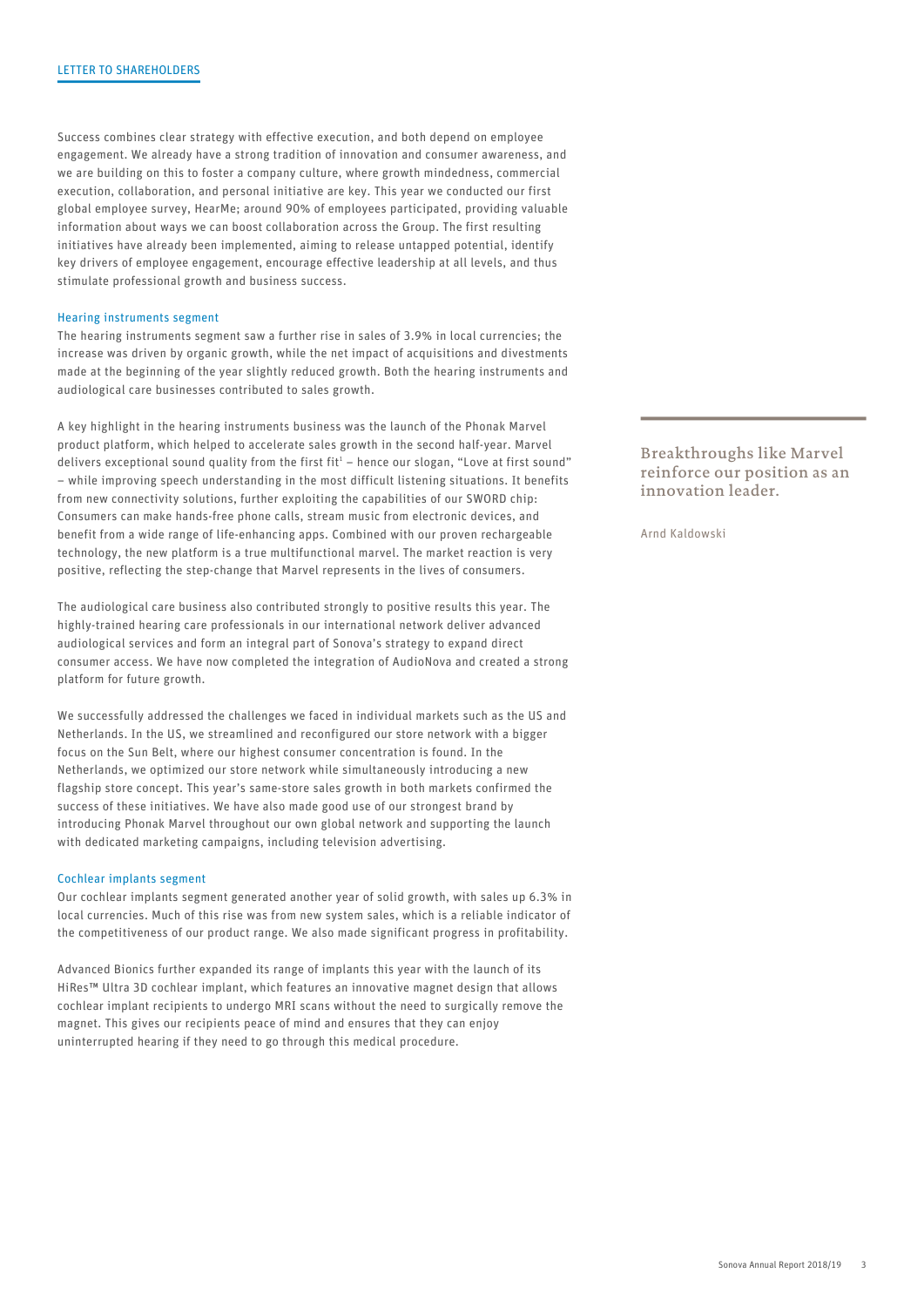Success combines clear strategy with effective execution, and both depend on employee engagement. We already have a strong tradition of innovation and consumer awareness, and we are building on this to foster a company culture, where growth mindedness, commercial execution, collaboration, and personal initiative are key. This year we conducted our first global employee survey, HearMe; around 90% of employees participated, providing valuable information about ways we can boost collaboration across the Group. The first resulting initiatives have already been implemented, aiming to release untapped potential, identify key drivers of employee engagement, encourage effective leadership at all levels, and thus stimulate professional growth and business success.

#### Hearing instruments segment

The hearing instruments segment saw a further rise in sales of 3.9% in local currencies; the increase was driven by organic growth, while the net impact of acquisitions and divestments made at the beginning of the year slightly reduced growth. Both the hearing instruments and audiological care businesses contributed to sales growth.

A key highlight in the hearing instruments business was the launch of the Phonak Marvel product platform, which helped to accelerate sales growth in the second half-year. Marvel delivers exceptional sound quality from the first  $fit<sup>1</sup>$  – hence our slogan, "Love at first sound" – while improving speech understanding in the most difficult listening situations. It benefits from new connectivity solutions, further exploiting the capabilities of our SWORD chip: Consumers can make hands-free phone calls, stream music from electronic devices, and benefit from a wide range of life-enhancing apps. Combined with our proven rechargeable technology, the new platform is a true multifunctional marvel. The market reaction is very positive, reflecting the step-change that Marvel represents in the lives of consumers.

The audiological care business also contributed strongly to positive results this year. The highly-trained hearing care professionals in our international network deliver advanced audiological services and form an integral part of Sonova's strategy to expand direct consumer access. We have now completed the integration of AudioNova and created a strong platform for future growth.

We successfully addressed the challenges we faced in individual markets such as the US and Netherlands. In the US, we streamlined and reconfigured our store network with a bigger focus on the Sun Belt, where our highest consumer concentration is found. In the Netherlands, we optimized our store network while simultaneously introducing a new flagship store concept. This year's same-store sales growth in both markets confirmed the success of these initiatives. We have also made good use of our strongest brand by introducing Phonak Marvel throughout our own global network and supporting the launch with dedicated marketing campaigns, including television advertising.

#### Cochlear implants segment

Our cochlear implants segment generated another year of solid growth, with sales up 6.3% in local currencies. Much of this rise was from new system sales, which is a reliable indicator of the competitiveness of our product range. We also made significant progress in profitability.

Advanced Bionics further expanded its range of implants this year with the launch of its HiRes™ Ultra 3D cochlear implant, which features an innovative magnet design that allows cochlear implant recipients to undergo MRI scans without the need to surgically remove the magnet. This gives our recipients peace of mind and ensures that they can enjoy uninterrupted hearing if they need to go through this medical procedure.

<sup>1</sup> Breakthroughs like Marvel reinforce our position as an innovation leader.

Arnd Kaldowski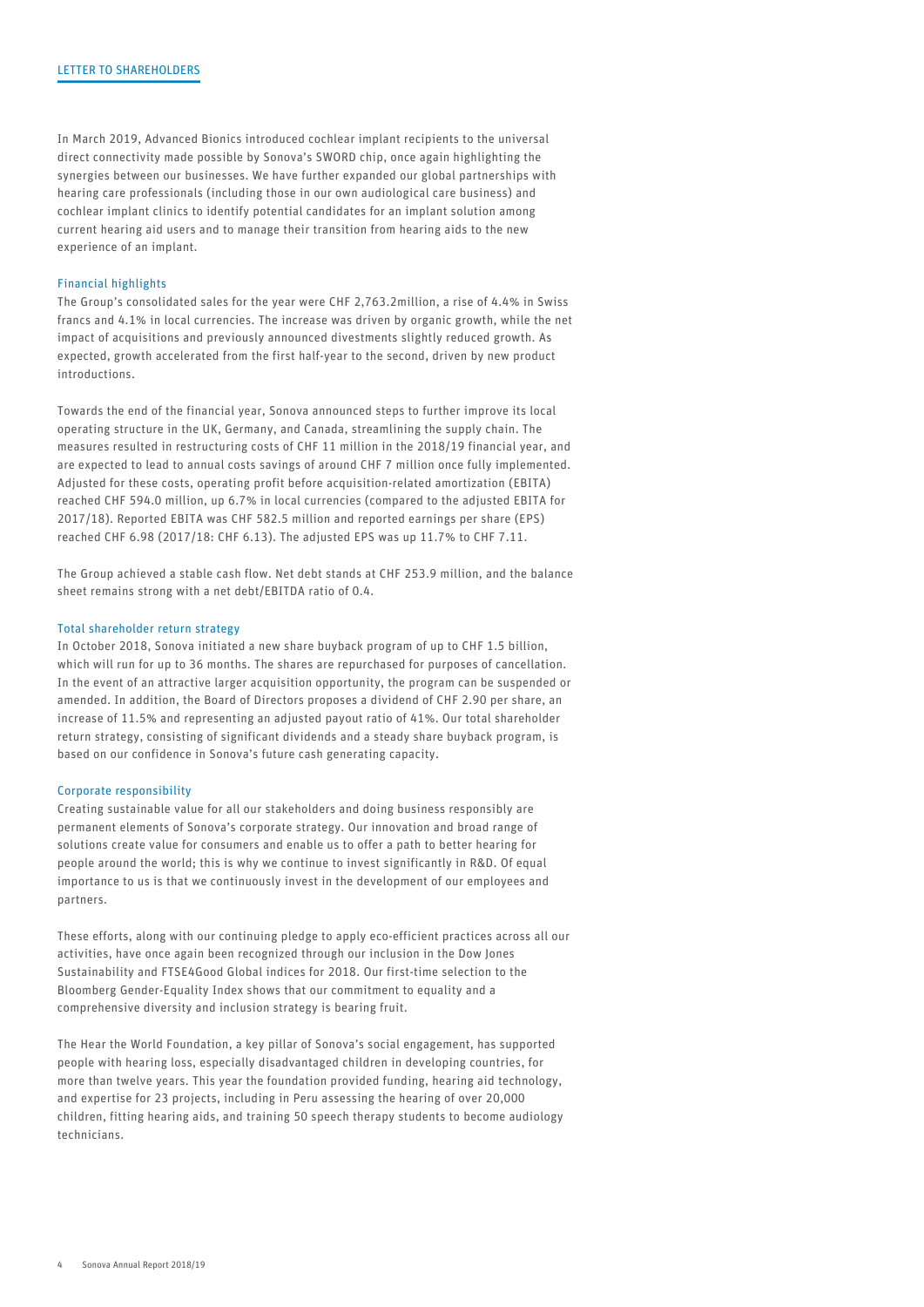In March 2019, Advanced Bionics introduced cochlear implant recipients to the universal direct connectivity made possible by Sonova's SWORD chip, once again highlighting the synergies between our businesses. We have further expanded our global partnerships with hearing care professionals (including those in our own audiological care business) and cochlear implant clinics to identify potential candidates for an implant solution among current hearing aid users and to manage their transition from hearing aids to the new experience of an implant.

# Financial highlights

The Group's consolidated sales for the year were CHF 2,763.2million, a rise of 4.4% in Swiss francs and 4.1% in local currencies. The increase was driven by organic growth, while the net impact of acquisitions and previously announced divestments slightly reduced growth. As expected, growth accelerated from the first half-year to the second, driven by new product introductions.

Towards the end of the financial year, Sonova announced steps to further improve its local operating structure in the UK, Germany, and Canada, streamlining the supply chain. The measures resulted in restructuring costs of CHF 11 million in the 2018/19 financial year, and are expected to lead to annual costs savings of around CHF 7 million once fully implemented. Adjusted for these costs, operating profit before acquisition-related amortization (EBITA) reached CHF 594.0 million, up 6.7% in local currencies (compared to the adjusted EBITA for 2017/18). Reported EBITA was CHF 582.5 million and reported earnings per share (EPS) reached CHF 6.98 (2017/18: CHF 6.13). The adjusted EPS was up 11.7% to CHF 7.11.

The Group achieved a stable cash flow. Net debt stands at CHF 253.9 million, and the balance sheet remains strong with a net debt/EBITDA ratio of 0.4.

#### Total shareholder return strategy

In October 2018, Sonova initiated a new share buyback program of up to CHF 1.5 billion, which will run for up to 36 months. The shares are repurchased for purposes of cancellation. In the event of an attractive larger acquisition opportunity, the program can be suspended or amended. In addition, the Board of Directors proposes a dividend of CHF 2.90 per share, an increase of 11.5% and representing an adjusted payout ratio of 41%. Our total shareholder return strategy, consisting of significant dividends and a steady share buyback program, is based on our confidence in Sonova's future cash generating capacity.

# Corporate responsibility

Creating sustainable value for all our stakeholders and doing business responsibly are permanent elements of Sonova's corporate strategy. Our innovation and broad range of solutions create value for consumers and enable us to offer a path to better hearing for people around the world; this is why we continue to invest significantly in R&D. Of equal importance to us is that we continuously invest in the development of our employees and partners.

These efforts, along with our continuing pledge to apply eco-efficient practices across all our activities, have once again been recognized through our inclusion in the Dow Jones Sustainability and FTSE4Good Global indices for 2018. Our first-time selection to the Bloomberg Gender-Equality Index shows that our commitment to equality and a comprehensive diversity and inclusion strategy is bearing fruit.

The Hear the World Foundation, a key pillar of Sonova's social engagement, has supported people with hearing loss, especially disadvantaged children in developing countries, for more than twelve years. This year the foundation provided funding, hearing aid technology, and expertise for 23 projects, including in Peru assessing the hearing of over 20,000 children, fitting hearing aids, and training 50 speech therapy students to become audiology technicians.